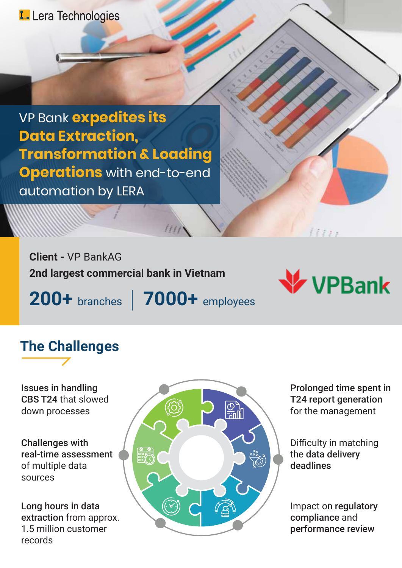#### L- Lera Technologies

VP Bank **expedites its Data Extraction, Transformation & Loading Operations** with end-to-end automation by LERA

**Client -** VP BankAG **2nd largest commercial bank in Vietnam**

**200+** branches **7000+** employees



 $11111$ 

# **The Challenges**

Issues in handling CBS T24 that slowed down processes

Challenges with real-time assessment of multiple data sources

Long hours in data extraction from approx. 1.5 million customer records



Prolonged time spent in T24 report generation for the management

Difficulty in matching the data delivery deadlines

Impact on regulatory compliance and performance review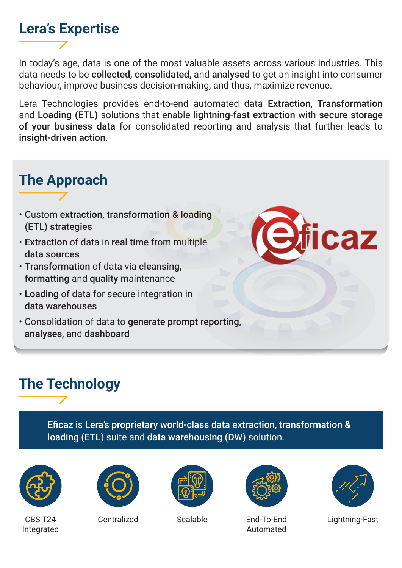#### **Lera's Expertise**

In today's age, data is one of the most valuable assets across various industries. This data needs to be collected, consolidated, and analysed to get an insight into consumer behaviour, improve business decision-making, and thus, maximize revenue.

Lera Technologies provides end-to-end automated data Extraction, Transformation and Loading (ETL) solutions that enable lightning-fast extraction with secure storage of your business data for consolidated reporting and analysis that further leads to insight-driven action.

### **The Approach**

- Custom extraction, transformation & loading (ETL) strategies
- Extraction of data in real time from multiple data sources
- Transformation of data via cleansing, formatting and quality maintenance
- Loading of data for secure integration in data warehouses
- Consolidation of data to generate prompt reporting, analyses, and dashboard

## **The Technology**

Eficaz is Lera's proprietary world-class data extraction, transformation & loading (ETL) suite and data warehousing (DW) solution.



CBS T24 Integrated







Centralized Scalable End-To-End Automated



caz

Lightning-Fast